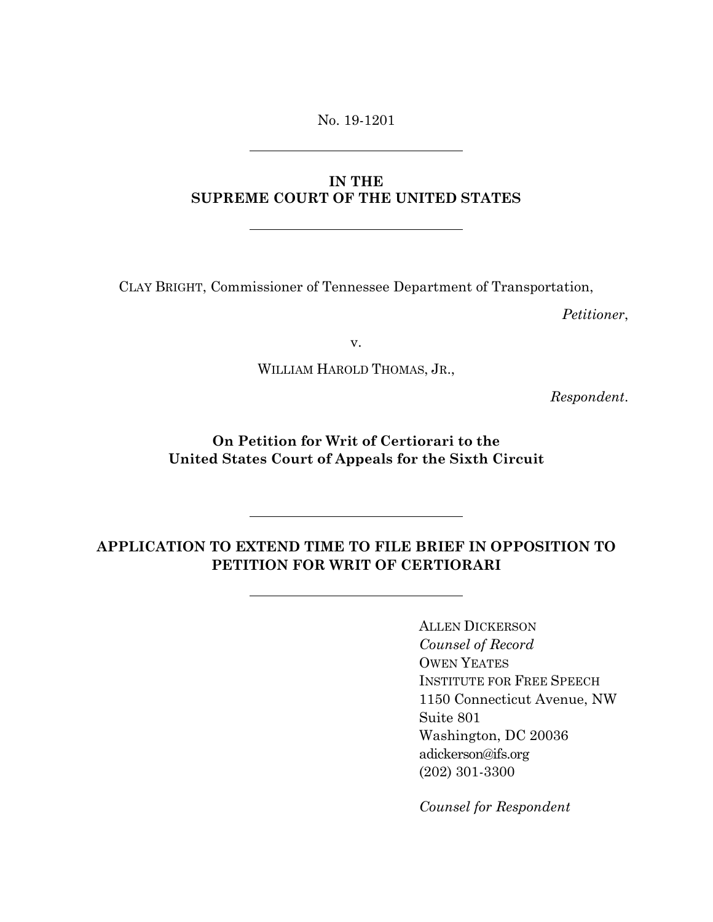No. 19-1201

## **IN THE SUPREME COURT OF THE UNITED STATES**

CLAY BRIGHT, Commissioner of Tennessee Department of Transportation,

*Petitioner*,

v.

WILLIAM HAROLD THOMAS, JR.,

*Respondent*.

**On Petition for Writ of Certiorari to the United States Court of Appeals for the Sixth Circuit** 

## **APPLICATION TO EXTEND TIME TO FILE BRIEF IN OPPOSITION TO PETITION FOR WRIT OF CERTIORARI**

ALLEN DICKERSON *Counsel of Record* OWEN YEATES INSTITUTE FOR FREE SPEECH 1150 Connecticut Avenue, NW Suite 801 Washington, DC 20036 adickerson@ifs.org (202) 301-3300

*Counsel for Respondent*